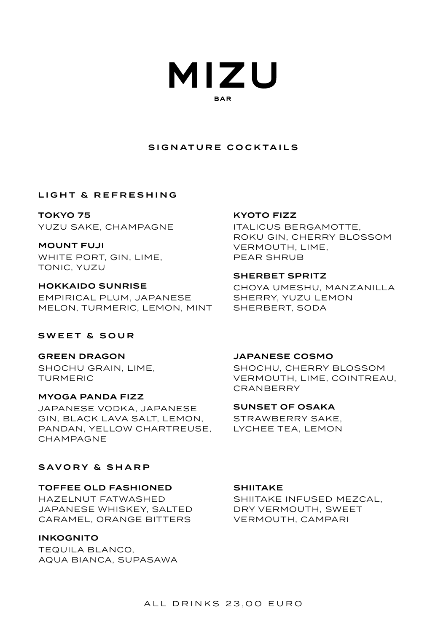

# SIGNATURE COCKTAILS

## LIGHT & REFRESHING

TOKYO 75 YUZU SAKE, CHAMPAGNE

MOUNT FUJI WHITE PORT, GIN, LIME, TONIC, YUZU

HOKKAIDO SUNRISE EMPIRICAL PLUM, JAPANESE MELON, TURMERIC, LEMON, MINT

# SWEET & SOUR

GREEN DRAGON SHOCHU GRAIN, LIME, TURMERIC

MYOGA PANDA FIZZ JAPANESE VODKA, JAPANESE GIN, BLACK LAVA SALT, LEMON, PANDAN, YELLOW CHARTREUSE, CHAMPAGNE

# SAVORY & SHARP

#### TOFFEE OLD FASHIONED

HAZELNUT FATWASHED JAPANESE WHISKEY, SALTED CARAMEL, ORANGE BITTERS

## INKOGNITO

TEQUILA BLANCO, AQUA BIANCA, SUPASAWA

## KYOTO FIZZ

ITALICUS BERGAMOTTE, ROKU GIN, CHERRY BLOSSOM VERMOUTH, LIME, PEAR SHRUB

#### SHERBET SPRITZ

CHOYA UMESHU, MANZANILLA SHERRY, YUZU LEMON SHERBERT, SODA

## JAPANESE COSMO

SHOCHU, CHERRY BLOSSOM VERMOUTH, LIME, COINTREAU, CRANBERRY

SUNSET OF OSAKA

STRAWBERRY SAKE, LYCHEE TEA, LEMON

# **SHIITAKE**

SHIITAKE INFUSED MEZCAL, DRY VERMOUTH, SWEET VERMOUTH, CAMPARI